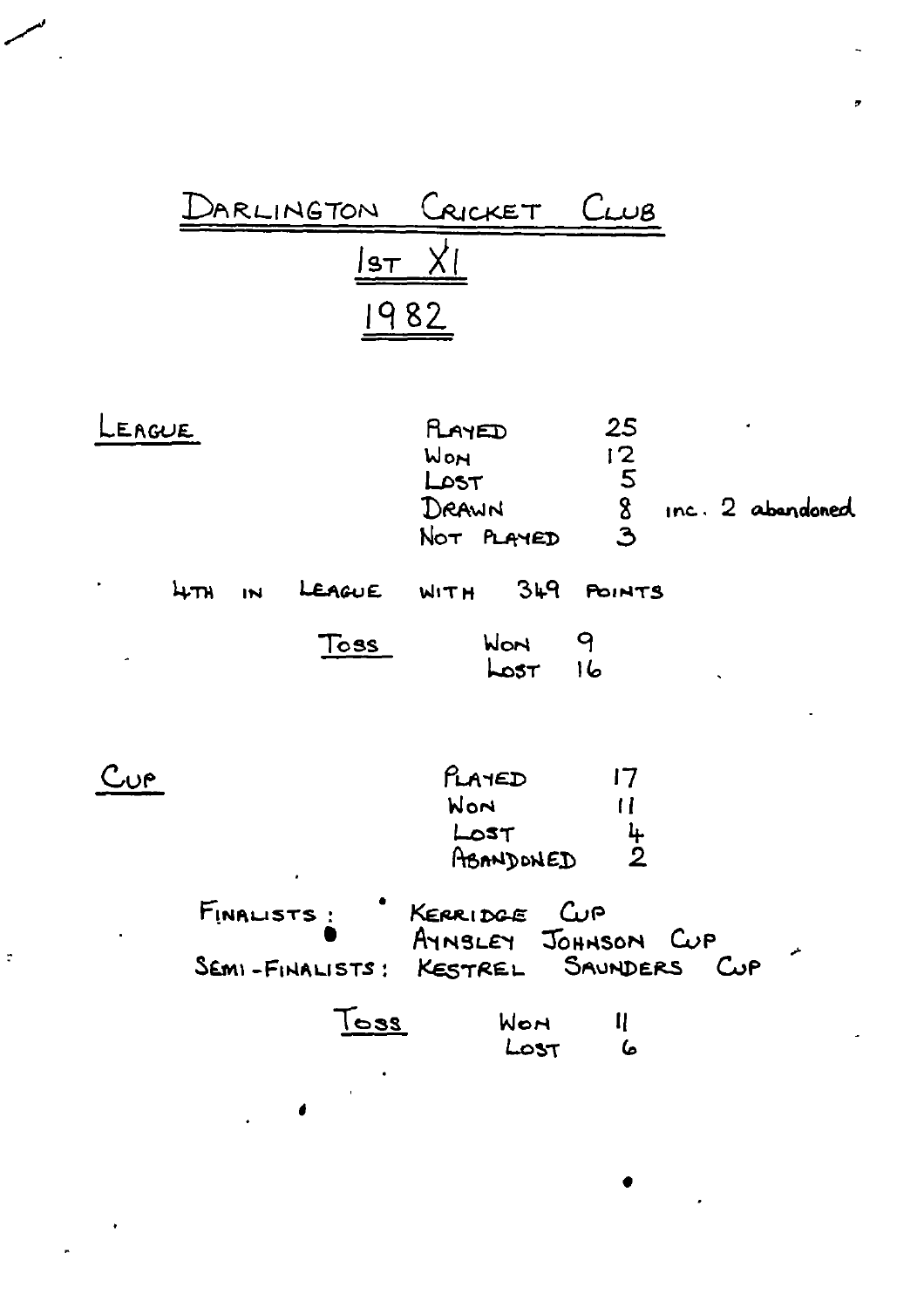

| EAGUE     |        |            |                                  | RAYED<br>WON<br>$L$ $\circ$ st<br>DRAWN | NOT PLAYED              | 25<br>$\frac{1}{2}$<br>$\frac{1}{2}$ |                    | $inc.2$ abandoned |
|-----------|--------|------------|----------------------------------|-----------------------------------------|-------------------------|--------------------------------------|--------------------|-------------------|
| $\bullet$ | $4\pi$ | IN         | LEAGUE                           |                                         | $WITH$ $349$            | <b>POINTS</b>                        |                    |                   |
|           |        |            | Toss                             |                                         | WON<br>$\text{Lost}$ 16 | 9                                    |                    |                   |
| یں ج      |        |            |                                  | PLAYED<br>Won<br>LOST                   | ABANDONED               | 17<br>11<br>$\frac{1}{2}$            |                    |                   |
|           |        | FINALISTS: | SEMI-FINALISTS: KESTREL SAUNDERS | KERRIDGE CUP                            |                         | AYNSLEY JOHNSON CUP                  | $C_{\mathbf{u}}$ P | الموا             |
|           |        |            | $\mathsf{res}$                   |                                         | WON.<br>LOST            | $\mathbf{I}$<br>6                    |                    |                   |
|           |        |            | 1                                |                                         |                         |                                      |                    |                   |

 $\ddot{\phantom{a}}$ 

 $\cdot$ 

 $\bullet$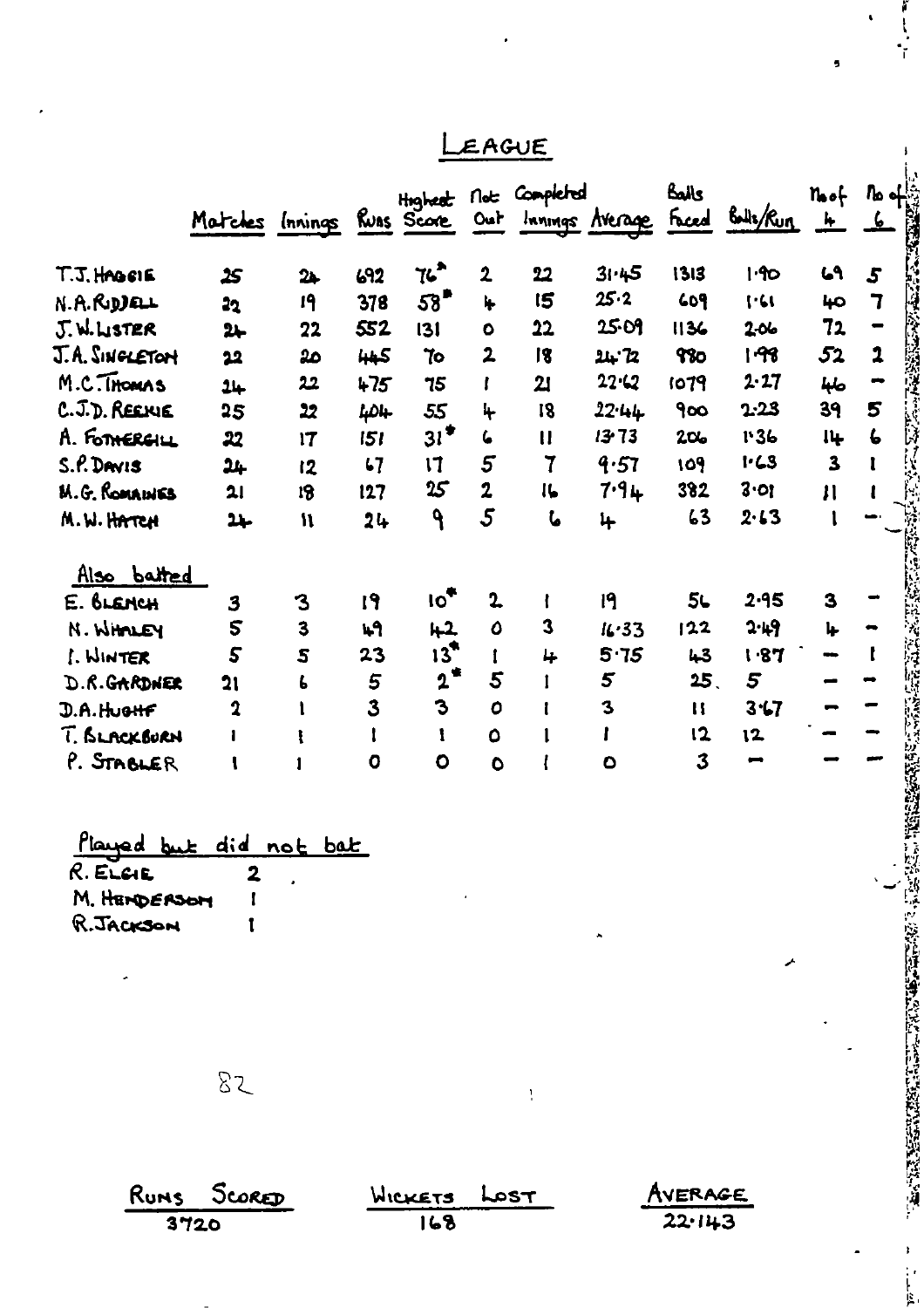|                                                      |                                                        |                           |              |                    | EAGUE           |                       |                     |                   |                          |                               |  |
|------------------------------------------------------|--------------------------------------------------------|---------------------------|--------------|--------------------|-----------------|-----------------------|---------------------|-------------------|--------------------------|-------------------------------|--|
|                                                      | Matches Innings Ruas Score                             |                           |              |                    |                 | Highest Not Completed | Out Innings Average | كعاك              | Faced Bolls/Run          | $n_{\rm{o}} +$<br><u>  L</u>  |  |
| T.J. HAGSIE                                          |                                                        |                           | 692          | 76                 | $\mathbf{2}$    | 22                    | 31.45               | 1313              | 1.90                     | 69                            |  |
| N.A.R.DDEL                                           | 25                                                     | $2+$<br>19                | 378          | 58"                | I.              | 15                    | 25.2                | 609               | 1.61                     | 40                            |  |
| J.W.LISTER                                           | 22                                                     | 22                        | 552          | 131                | $\bullet$       | 22                    | 25.09               | 1136              | 206                      | 72                            |  |
| J.A. SINGLETON                                       | $2+$                                                   | مھ                        |              | 70                 | $\overline{2}$  | 18                    | 24.72               | 980               | । ११                     | 52                            |  |
| M.C.Thomas                                           | 22                                                     | 22                        | 445<br>$+75$ | 75                 | L               | 21                    | $22 - 2$            | 1079              | 2.27                     |                               |  |
| C. J.D. REEKIE                                       | 24                                                     |                           |              |                    |                 | 18                    | 22.44               | 900               | 2.23                     | حلها<br>39                    |  |
| A. FOTHERGILL                                        | 25                                                     | $\overline{2}$            | 404          | 55<br>$31^*$       | 4<br>6          | $\mathbf{u}$          | $13 - 73$           | 206               | 1.36                     |                               |  |
|                                                      | 22                                                     | 17                        | 151          |                    | $5\overline{)}$ | $\mathbf 7$           |                     | 109               | $1 - 23$                 | 14<br>$\overline{\mathbf{3}}$ |  |
| S.P. DAVIS                                           | 24                                                     | 12                        | $\mathbf{L}$ | $\mathsf{I}$<br>25 | $\overline{2}$  | 16                    | 4.57<br>7.94        | 382               | 3.01                     |                               |  |
| <b>M.G. ROMAINES</b>                                 | 21                                                     | 18                        | 127          |                    | $\mathfrak{s}$  |                       |                     |                   |                          | $\mathbf{H}$                  |  |
| M.W. HATCH                                           | 24                                                     | $\boldsymbol{\mathsf{N}}$ | 24           | $\mathbf{P}$       |                 | も                     | 4                   | 63                | 2.13                     |                               |  |
| Also batted                                          |                                                        |                           |              |                    |                 |                       |                     |                   |                          |                               |  |
| E. BLENCH                                            | 3                                                      | $\mathbf 3$               | 19           | 10 <sup>4</sup>    | $\mathbf{r}$    | ł                     | 19                  | 5L                | 2.95                     | 3                             |  |
| N. WHOLEY                                            | 5                                                      | $\overline{\mathbf{3}}$   | 49           | $+2$               | $\mathbf{o}$    | 3                     | 16.33               | 122               | 2.49                     | 1                             |  |
| I. WINTER                                            | 5                                                      | 5                         | 23           | $13^*$             | î.              | 4                     | 5.75                | 43                | <b>1.87</b>              | --                            |  |
| D.R.GARDNER                                          | 21                                                     | 6                         | 5            | $2^*$              | 5               | ı                     | 5                   | 25 <sub>1</sub>   | 5                        |                               |  |
| D.A.HuoHF                                            | $\mathbf 2$                                            | t                         | 3            | 3                  | $\mathbf o$     | t                     | $\mathbf{3}$        | $\mathbf{H}$      | 3.17                     |                               |  |
| T. BLACKBURN                                         |                                                        |                           | t            | ŧ                  | $\bullet$       | 1                     | ľ                   | 12                | 12                       |                               |  |
| P. STABLER                                           | ι                                                      |                           | $\mathbf o$  | $\bullet$          | $\bullet$       | ł                     | $\bullet$           | 3                 | $\overline{\phantom{a}}$ |                               |  |
| Played but<br>R. ELGIE<br>M. HEMDERSOM<br>R. JACKSON | did<br>2                                               | <u>not</u><br><u>bat</u>  |              |                    |                 |                       |                     |                   |                          |                               |  |
|                                                      | 82                                                     |                           |              |                    |                 |                       |                     |                   |                          |                               |  |
|                                                      | Runs Score <del>r</del><br>$\overline{\mathbf{a}}$ maa |                           |              | WICKETS<br>14.9    |                 | LOST                  |                     | AVERAGE<br>22.112 |                          |                               |  |

| LEACUE |
|--------|
|--------|

ľ  $\frac{1}{1}$ 

 $\bullet$ 

| Played but did not bat |  |  |
|------------------------|--|--|
| R. ELGIE               |  |  |
| M. HENDERSOM           |  |  |
| R. JACKSON             |  |  |

 $\frac{Rums}{3720}$ SCORED  $W EXETS   
 168$ </u> **AVERAGE**<br>22.143 Lost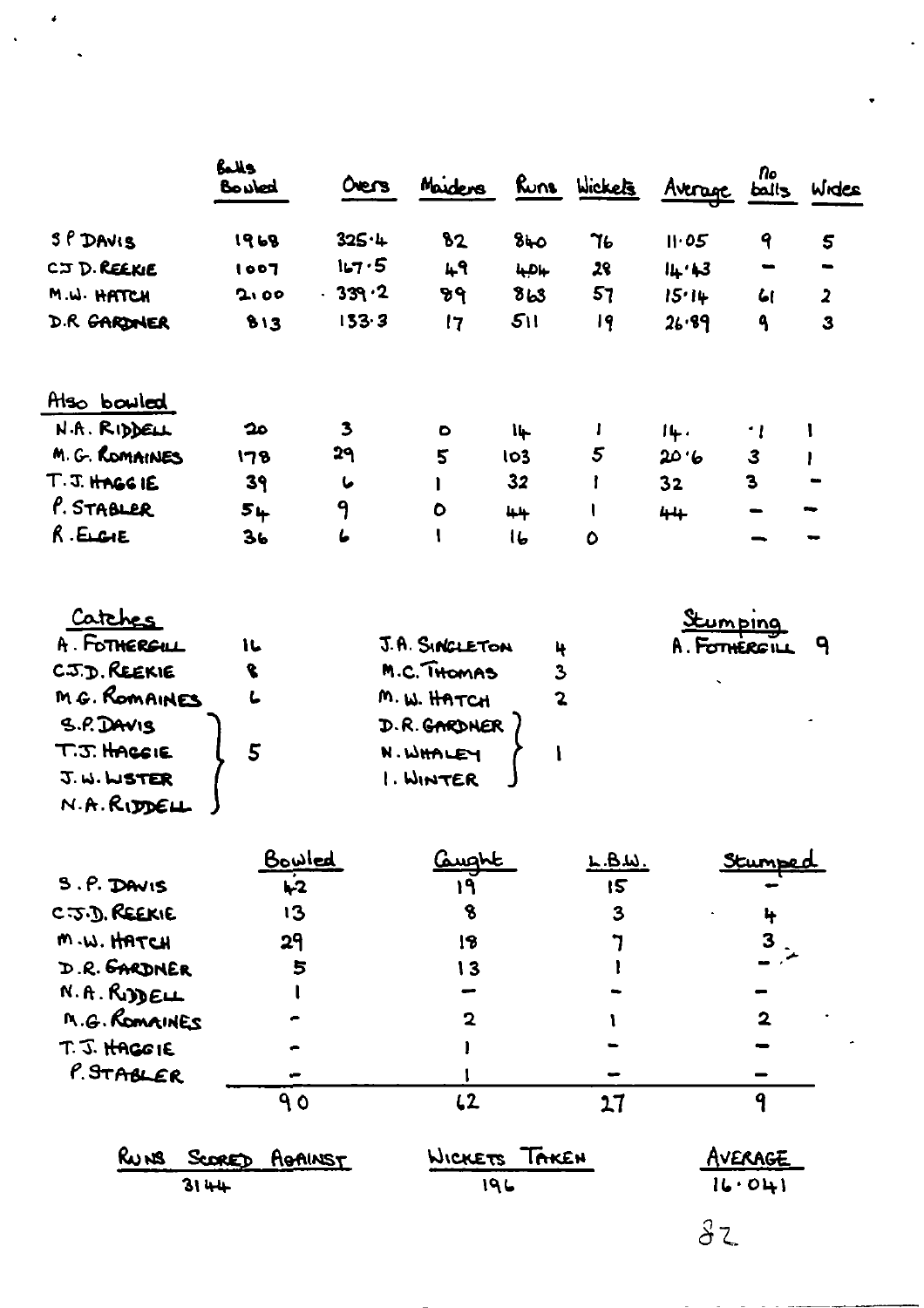|                | Balls<br>Bouled | Overs    | Maiders   |                 | Runs Wickets | Avenue | nо<br>ball <sub>3</sub> | Wides          |
|----------------|-----------------|----------|-----------|-----------------|--------------|--------|-------------------------|----------------|
| SP DAVIS       | 1968            | 325.4    | 82        | 840             | 76           | II.05  | 9                       | 5              |
| CJ D. REEKIE   | 1007            | 167.5    | 49        | 4.04            | 28           | 14.13  | -                       | $\bullet$      |
| M.W. HATCH     | 2,00            | $-339.2$ | ष्ठभ      | 8 <sub>b3</sub> | 57           | 15.14  | 61                      | $\overline{a}$ |
| D.R. GARDNER   | 813             | 133.3    | 17        | 511             | 19           | 26.89  | ۹                       | 3              |
| Also bowled    |                 |          |           |                 |              |        |                         |                |
| N.A. RIDDELL   | 20              | 3        | $\bullet$ | $14 -$          |              | 14.    | - 1                     |                |
| M. G. ROMAINES | 178             | 29       | 5         | 103             | 5            | 20.6   | $\mathbf{3}$            |                |
| T.J. HAGGIE    | 39              | L        | I         | 32              |              | 32     | 3                       | $\bullet$      |
| P. STABLER     | 54              | 9        | $\bullet$ | 44              |              | $44 +$ |                         |                |
| $R$ . ELGIE    | 36              | L        | l         | 16              | 0            |        |                         |                |

| Carches       |   |                |   | <u>Stumping</u> |   |
|---------------|---|----------------|---|-----------------|---|
| A. FOTHERGUL  | に | J.A. SINGLETON | 4 | A. FOTHERGILL   | q |
| C.J.D. REEKIE |   | M.C. THOMAS    | 3 |                 |   |
| M.G. ROMAINES |   | M.W. HATCH     |   |                 |   |
| S.P. DAVIS    |   | D.R. GARDNER   |   |                 |   |
| T.J. HACGIE   |   | N. WHALEY      |   |                 |   |
| J.W.WSTER     |   | 1. WINTER      |   |                 |   |
| N.A.R.        |   |                |   |                 |   |

|                | <u>Bowled</u>  | علاصدها        | L.B.W. | Stumped        |
|----------------|----------------|----------------|--------|----------------|
| S.P. DAVIS     | $\mathbf{L}^2$ | ۱۹             | 15     |                |
| C.J.D. REEKIE  | 13             | 8              | 3      | ₩              |
| M.W. HATCH     | 29             | 18             |        |                |
| D.R. GARDNER   | 5              | 13             |        |                |
| N.A.B.         |                |                |        |                |
| M.G. ROMAINES  |                | 2              |        | $\mathbf{2}$   |
| T. J. HAGGIE   |                |                |        |                |
| $P.$ STABLER   |                |                |        |                |
|                | ۹٥             | L2             | 17     |                |
| Runs<br>SCORED | AGAINST        | <b>WICKETS</b> | TAKEN  | <b>\VERAGE</b> |

|      | 3 SCORED AGAINST | WICKETS INKEN | AVERAGE |
|------|------------------|---------------|---------|
| 3144 |                  | 19 L          | 16.041  |
|      |                  |               |         |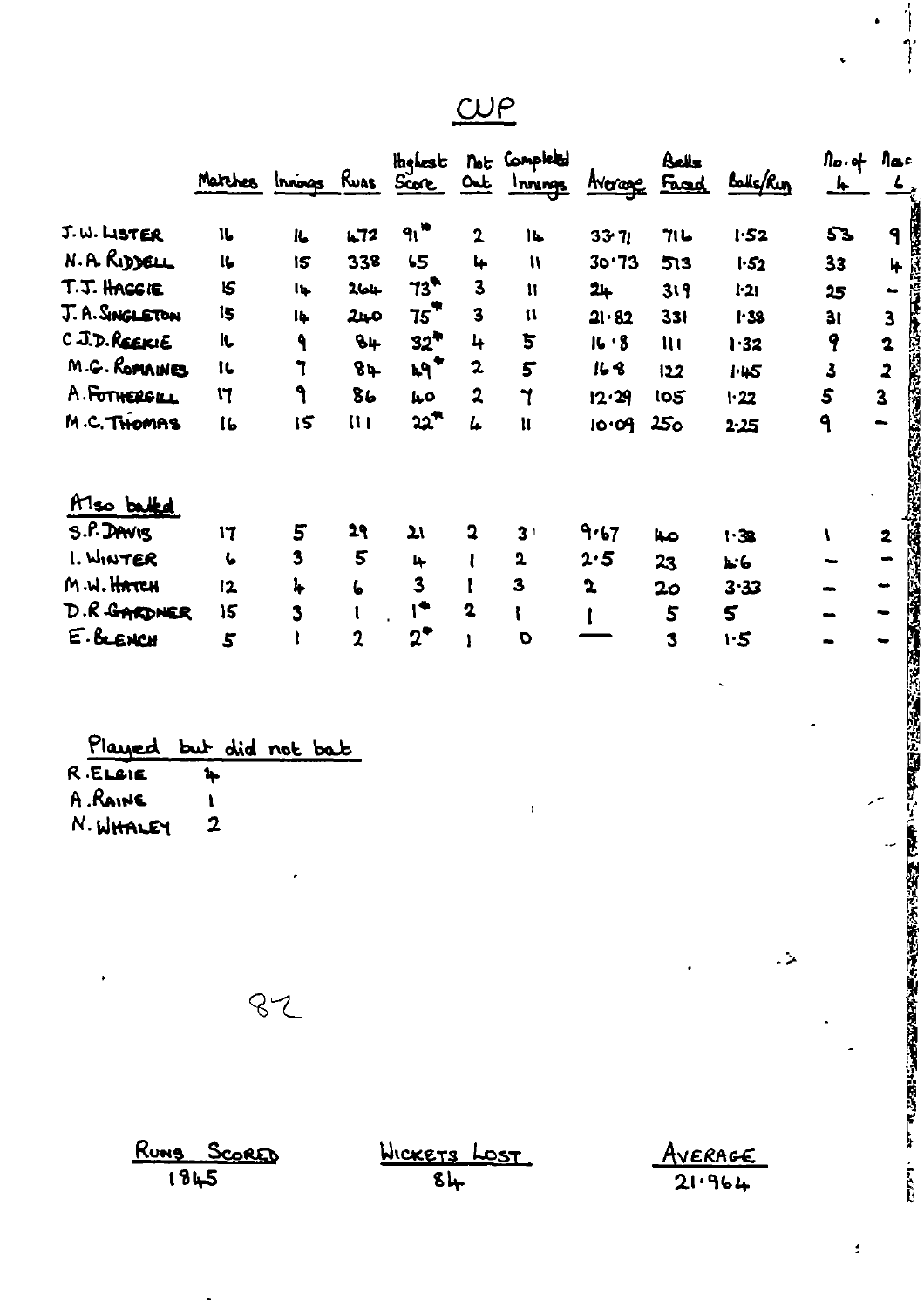## $CP$ </u>

|                 | Matches Innings Ruas Score |                         |                         | <b>Highest</b>          |                         | Not Completed<br>Out Innings |              | Bells<br><b>Average Faced</b> | Balls/Rin | <u>le</u>               | $\mathsf{a} \circ \mathsf{b}$ $\mathsf{a} \circ \mathsf{b}$ |
|-----------------|----------------------------|-------------------------|-------------------------|-------------------------|-------------------------|------------------------------|--------------|-------------------------------|-----------|-------------------------|-------------------------------------------------------------|
| J.W. LISTER     | 11                         | IL.                     | 472                     | 91                      | $\mathbf{2}$            | 14                           | 3371         | 71 レ                          | 152       | 53                      | ۹                                                           |
| N.A. RIDDELL    | lt.                        | 15                      | 338                     | 55                      | 4                       | $\mathbf{u}$                 | 30'73        | 513                           | 1.52      | 33                      | 4                                                           |
| T.J. HACGIE     | <b>IS</b>                  | Ių.                     | 264                     | $73^{\bullet}$          | $\overline{\mathbf{3}}$ | $\mathbf{I}$                 | 24           | 319                           | $1 - 21$  | 25                      | $\bullet$                                                   |
| J. A. SINGLETON | 15                         | Ib.                     | مبر2                    | 75                      | $\overline{\mathbf{3}}$ | $\mathbf{u}$                 | 21.82        | 331                           | 1.38      | 31                      | $\overline{\mathbf{3}}$                                     |
| C.J.D. REEKIE   | IL,                        | ٩                       | $8+$                    | $32^{\bullet}$          | 4                       | 5                            | 16.8         | $\mathbf{u}$                  | 1.32      | 9                       | $\mathbf{z}$                                                |
| M.G. ROMAINES   | IL.                        | ٦                       | 84                      | $kq^2$                  | $\mathbf{z}$            | 5                            | 163          | 122                           | 1.45      | $\overline{\mathbf{3}}$ | $\overline{\mathbf{2}}$                                     |
| A. FOTHERGUL    | 17                         | ۹                       | 8 <sub>b</sub>          | ەيرا                    | $\mathbf{2}$            | ז                            | 12.29        | 105                           | 1.22      | 5                       | $\overline{\mathbf{3}}$                                     |
| M.C. THOMAS     | 16                         | 15                      | $\overline{\mathbf{u}}$ | 22 <sup>**</sup>        | L                       | $\mathbf{u}$                 | 10.09        | 25 <sub>o</sub>               | 2:25      | 9                       |                                                             |
| Also batted     |                            |                         |                         |                         |                         |                              |              |                               |           |                         |                                                             |
| S.P. DAVIS      | 17                         | 5                       | 29                      | $\mathbf{z}$            | 2                       | 3 <sup>1</sup>               | 9.67         | صبا                           | 1.38      |                         | 2                                                           |
| 1. WINTER       | L                          | $\overline{\mathbf{3}}$ | 5                       | 4                       |                         | $\overline{\mathbf{2}}$      | 2.5          | 23                            | たん        |                         |                                                             |
| M.W. HATCH      | 12                         | 4                       | 6                       | $\overline{\mathbf{3}}$ |                         | 3                            | $\mathbf{r}$ | 2 <sub>o</sub>                | 3.33      |                         |                                                             |
| D.R. GARDNER    | 15                         | 3                       |                         | I <sup>*</sup>          | $\mathbf 2$             |                              |              | 5                             | 5         |                         |                                                             |
| E. BLENCH       | 5                          |                         |                         | $2^{\bullet}$           |                         | $\mathbf{o}$                 |              | 3                             | 1.5       |                         |                                                             |

 $\ddot{\phantom{0}}$ 

| Played but did not bab |             |  |  |
|------------------------|-------------|--|--|
| R ELGIE                | n.          |  |  |
| A.RAINE                |             |  |  |
| N. WHALEY              | $\mathbf 2$ |  |  |

 $\ddot{\phantom{1}}$ 

 $\cdot$ 

 $82$ 

 $\cdot$ 

| RUNS SCORED | <u>WICKETS LOST</u> | AVERAGE |
|-------------|---------------------|---------|
| 1845        | 8և                  | 21.964  |

×

 $\ddot{\phantom{0}}$ 

 $\overline{a}$ 

 $\ddot{\cdot}$ 

 $\overline{\phantom{a}}$ 

 $\overline{a}$ 

 $\ddot{\phantom{0}}$ 

l,

 $\frac{1}{\gamma}$ 

.

 $\ddot{\phantom{0}}$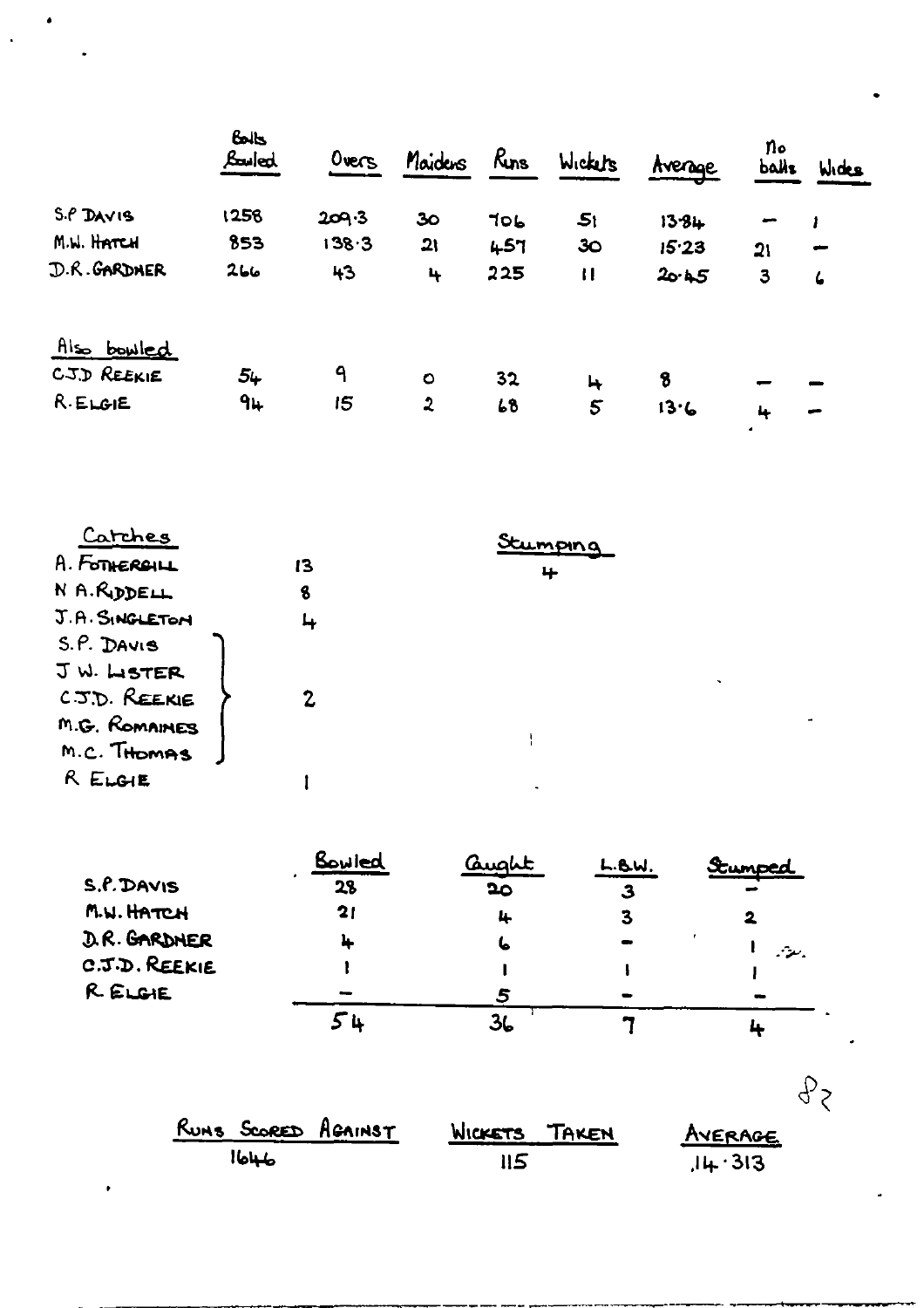|              | BOOKS<br><b>Bauled</b> | $0$ vers | Maidens        | Ryns | Wickers         | Avenge | n۰<br><b>balls</b> | Wides |
|--------------|------------------------|----------|----------------|------|-----------------|--------|--------------------|-------|
| S.P DAVIS    | 1256                   | 209.3    | 30             | 706  | 5 <sub>i</sub>  | 13.84  |                    |       |
| M.W. HATCH   | 853                    | 138.3    | 21             | 457  | 30 <sub>o</sub> | 15.23  | 21                 |       |
| D.R. GARDNER | 266                    | 43       | $\ddot{ }$     | 225  | $\mathbf{I}$    | 20.45  | 3                  | 6     |
| Also bowled  |                        |          |                |      |                 |        |                    |       |
| CJD REEKIE   | 54                     | ٩        | $\bullet$      | 32   | 4               | 8      |                    |       |
| R.ELGHE      | 94                     | 15       | $\overline{2}$ | 68   | 5               | 13.6   | 4                  |       |

ä

| Catches        |    | Stumping |   |
|----------------|----|----------|---|
| A. FOTHERBILL  | 13 | 4        |   |
| N A.RIDDELL    | 8  |          |   |
| J.A. SINGLETON |    |          |   |
| S.P. DAVIS     |    |          |   |
| JW. LISTER     |    | $\cdot$  |   |
| C.J.D. REEKIE  |    |          |   |
| M.G. ROMAINES  |    |          | ÷ |
| M.C. THOMAS    |    |          |   |
| R ELGIE        |    |          |   |

|               | Bowled         | <u>Qua</u> ht | L.BW. | Stumped  |
|---------------|----------------|---------------|-------|----------|
| S.f.DAVIS     | 28             | 20            | З     |          |
| M.W. HATCH    | $\mathbf{2}$ l | 4             | З     |          |
| D.R. GARDNER  |                | ۱ь            |       | بيعة بمن |
| C.J.D. REEKIE |                |               |       |          |
| R. ELGIE      |                |               |       |          |
|               |                |               |       |          |

| RUNS SCORED AGAINST | WICKETS TAKEN | AVERAGE |
|---------------------|---------------|---------|
| الهلبل              | 115           | 14.313  |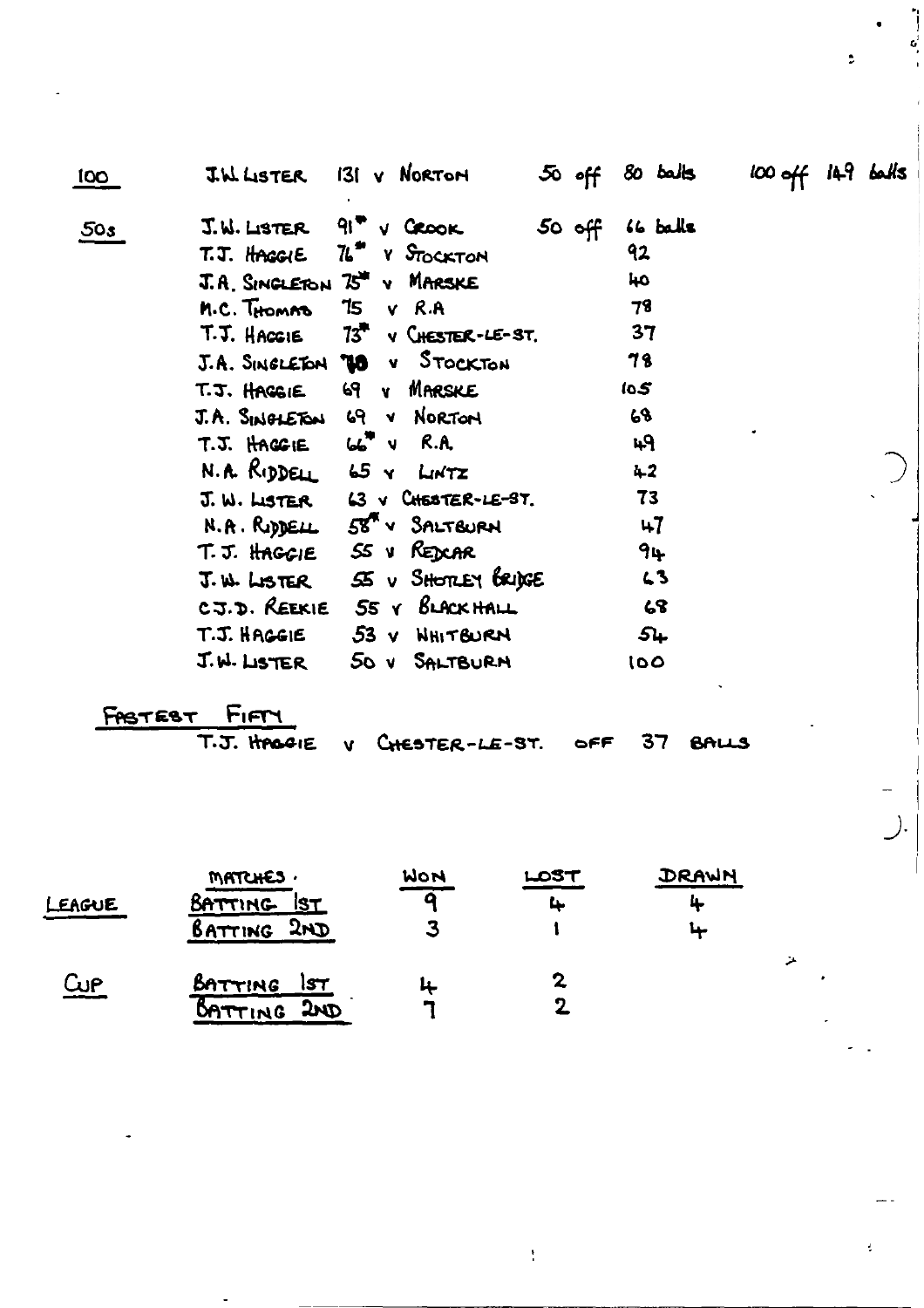| 100 | <b>J.W. LISTER</b>                | 131 v Nortom                                | $50$ off    | $80$ balls | $100$ off $149$ balls |
|-----|-----------------------------------|---------------------------------------------|-------------|------------|-----------------------|
| 50s | J.W. LISTER                       | $91^\circ \vee$ CROOK                       | $50 \theta$ | 66 balls   |                       |
|     |                                   | T.J. HAGGIE 76" Y STOCKTON                  |             | 92         |                       |
|     |                                   | J.A. SINGLETON 75" V MARSKE                 |             | 40         |                       |
|     | M.C. THOMAD                       | $TS$ v $R.A$                                |             | 78         |                       |
|     | T.J. HACGIE                       | $73^{\circ}$ v CHESTER-LE-ST.               |             | 37         |                       |
|     |                                   | J.A. SINGLETON <b>10</b> v STOCKTON         |             | 78         |                       |
|     | T.J. HAGGIE                       | 69 V MARSKE                                 |             | 10.5       |                       |
|     |                                   | J.A. SINGLETON 69 V NORTON                  |             | 68         |                       |
|     | $T.S.$ HAGGIE $66^{\circ}$ V R.A. |                                             |             | 49         |                       |
|     |                                   | N.A. RIDDELL 65 Y LINTZ                     |             | 42         |                       |
|     |                                   | J. W. LISTER 63 V CHESTER-LE-ST.            |             | 73         |                       |
|     |                                   | N.A. RIDDELL 58" V SALTBURN                 |             | $+7$       |                       |
|     |                                   | T.J. HAGGIE SS V REDCAR                     |             | 94         |                       |
|     |                                   | $T.W.$ ListER $S\subseteq V$ SHOTLEY BRIGGE |             | $\sim$ 3   |                       |
|     | CJ.D. REEKIE                      | 55 Y BLACK HALL                             |             | 68         |                       |
|     | T.J. HAGGIE                       | 53 V NHITBURN                               |             | 54         |                       |
|     | J.W. LISTER                       | 50 V SALTBURN                               |             | 100        |                       |

FASTEST FIFTY

OFF

 $\ddot{\phantom{a}}$ 

**37 BALLS** 

 $\bar{\mathbb{A}}$ 

 $\ddot{\psi}$ 

).

 $\bar{t}$ 

|           | <b>MATCHES.</b> | WON | LOST | DRAWN |
|-----------|-----------------|-----|------|-------|
| LEAGUE    | BATTING IST     |     |      |       |
|           | BATTING 2ND     |     |      | u     |
| <b>WP</b> | BATTING<br>157  | 4   |      |       |
|           | 300<br>DATTING  | э   |      |       |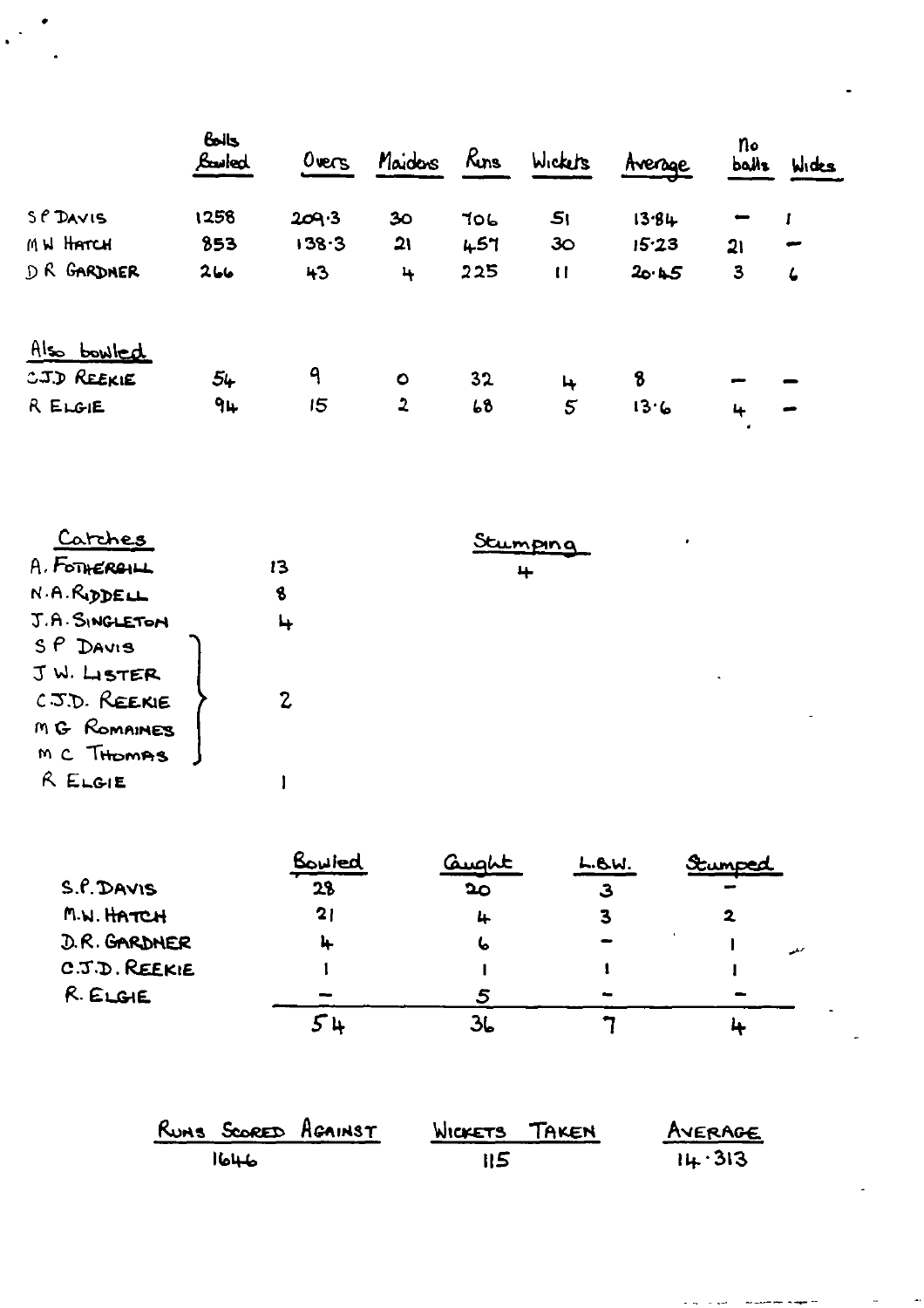|             | $6 - 6$<br>Louied | Overs | Maidons        | Rins | Wickets         | Average | no<br><b>balls</b> | Wides      |
|-------------|-------------------|-------|----------------|------|-----------------|---------|--------------------|------------|
| SP DAVIS    | 1258              | 209.3 | 30             | 706  | 5 <sub>1</sub>  | 13.84   |                    |            |
| MN HATCH    | 853               | 138.3 | 21             | 457  | 30              | 15.23   | 21                 | حجو        |
| D R GARDNER | 266               | 43    | 4              | 225  | $\mathbf{H}$    | 20.45   | $\mathbf{3}$       | $\epsilon$ |
| Also bowled |                   |       |                |      |                 |         |                    |            |
| CJD REEKIE  | 54                | ٩     | $\bullet$      | 32   | 4               | 8       |                    |            |
| R ELGIE     | 94                | 15    | $\overline{2}$ | 68   | $5\overline{)}$ | 13.6    | 4                  |            |

 $\mathbb{R}^2$ 

| <u>Carches</u> |    | Stumping |  |
|----------------|----|----------|--|
| A. FOTHERGILL  | 13 | 4        |  |
| N.A.RIDDELL    | 8  |          |  |
| J.A. SINGLETON |    |          |  |
| $SP$ DAVIS     |    |          |  |
| JW. LISTER     |    |          |  |
| C.J.D. REEKIE  |    |          |  |
| MG ROMAINES    |    |          |  |
| MC THOMAS      |    |          |  |
| R ELGIE        |    |          |  |
|                |    |          |  |

 $\mathcal{A}^{\text{max}}_{\text{max}}$ 

 $\frac{1}{\sqrt{2}}$  $\mathbf{L}$ 

 $\omega_{\rm{max}}$ 

 $\ddot{\phantom{0}}$ 

|               | Bowled | Quaht | L.BW. | Stumped |
|---------------|--------|-------|-------|---------|
| S.P. DAVIS    | 28     | 20    | З     |         |
| M.W. HATCH    | 21     | 4     |       |         |
| D.R. GARDNER  | 4      | 6     |       | المنفعد |
| C.J.D. REEKIE |        |       |       |         |
| R. ELGIE      |        |       |       |         |
|               |        |       |       |         |

| RUMS SCORED AGAINST | WICKETS TAKEN | AVERAGE |
|---------------------|---------------|---------|
| الهليل              | 115           | 14.313  |